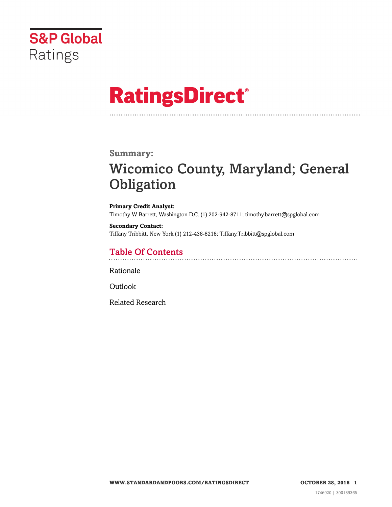

# **RatingsDirect®**

### **Summary:**

# Wicomico County, Maryland; General **Obligation**

**Primary Credit Analyst:** Timothy W Barrett, Washington D.C. (1) 202-942-8711; timothy.barrett@spglobal.com

**Secondary Contact:** Tiffany Tribbitt, New York (1) 212-438-8218; Tiffany.Tribbitt@spglobal.com

### Table Of Contents

[Rationale](#page-1-0)

[Outlook](#page-5-0)

[Related Research](#page-5-1)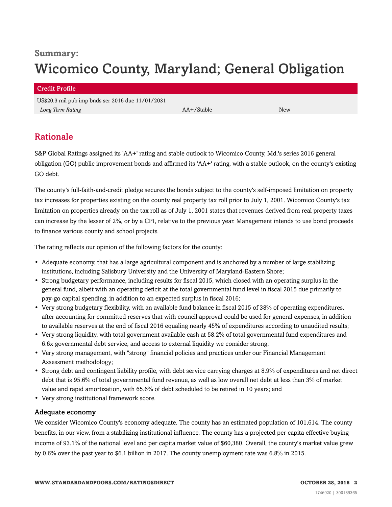# **Summary:** Wicomico County, Maryland; General Obligation

#### Credit Profile

US\$20.3 mil pub imp bnds ser 2016 due 11/01/2031 *Long Term Rating* AA+/Stable New

## <span id="page-1-0"></span>Rationale

S&P Global Ratings assigned its 'AA+' rating and stable outlook to Wicomico County, Md.'s series 2016 general obligation (GO) public improvement bonds and affirmed its 'AA+' rating, with a stable outlook, on the county's existing GO debt.

The county's full-faith-and-credit pledge secures the bonds subject to the county's self-imposed limitation on property tax increases for properties existing on the county real property tax roll prior to July 1, 2001. Wicomico County's tax limitation on properties already on the tax roll as of July 1, 2001 states that revenues derived from real property taxes can increase by the lesser of 2%, or by a CPI, relative to the previous year. Management intends to use bond proceeds to finance various county and school projects.

The rating reflects our opinion of the following factors for the county:

- Adequate economy, that has a large agricultural component and is anchored by a number of large stabilizing institutions, including Salisbury University and the University of Maryland-Eastern Shore;
- Strong budgetary performance, including results for fiscal 2015, which closed with an operating surplus in the general fund, albeit with an operating deficit at the total governmental fund level in fiscal 2015 due primarily to pay-go capital spending, in addition to an expected surplus in fiscal 2016;
- Very strong budgetary flexibility, with an available fund balance in fiscal 2015 of 38% of operating expenditures, after accounting for committed reserves that with council approval could be used for general expenses, in addition to available reserves at the end of fiscal 2016 equaling nearly 45% of expenditures according to unaudited results;
- Very strong liquidity, with total government available cash at 58.2% of total governmental fund expenditures and 6.6x governmental debt service, and access to external liquidity we consider strong;
- Very strong management, with "strong" financial policies and practices under our Financial Management Assessment methodology;
- Strong debt and contingent liability profile, with debt service carrying charges at 8.9% of expenditures and net direct debt that is 95.6% of total governmental fund revenue, as well as low overall net debt at less than 3% of market value and rapid amortization, with 65.6% of debt scheduled to be retired in 10 years; and
- Very strong institutional framework score.

#### Adequate economy

We consider Wicomico County's economy adequate. The county has an estimated population of 101,614. The county benefits, in our view, from a stabilizing institutional influence. The county has a projected per capita effective buying income of 93.1% of the national level and per capita market value of \$60,380. Overall, the county's market value grew by 0.6% over the past year to \$6.1 billion in 2017. The county unemployment rate was 6.8% in 2015.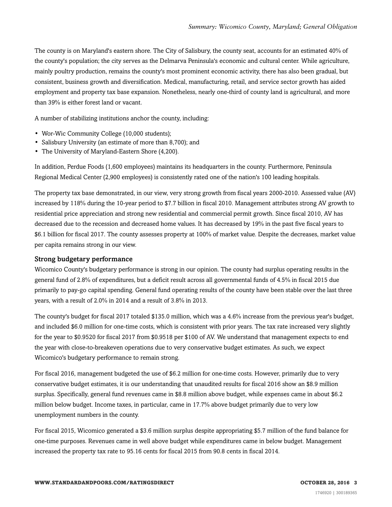The county is on Maryland's eastern shore. The City of Salisbury, the county seat, accounts for an estimated 40% of the county's population; the city serves as the Delmarva Peninsula's economic and cultural center. While agriculture, mainly poultry production, remains the county's most prominent economic activity, there has also been gradual, but consistent, business growth and diversification. Medical, manufacturing, retail, and service sector growth has aided employment and property tax base expansion. Nonetheless, nearly one-third of county land is agricultural, and more than 39% is either forest land or vacant.

A number of stabilizing institutions anchor the county, including:

- Wor-Wic Community College (10,000 students);
- Salisbury University (an estimate of more than 8,700); and
- The University of Maryland-Eastern Shore (4,200).

In addition, Perdue Foods (1,600 employees) maintains its headquarters in the county. Furthermore, Peninsula Regional Medical Center (2,900 employees) is consistently rated one of the nation's 100 leading hospitals.

The property tax base demonstrated, in our view, very strong growth from fiscal years 2000-2010. Assessed value (AV) increased by 118% during the 10-year period to \$7.7 billion in fiscal 2010. Management attributes strong AV growth to residential price appreciation and strong new residential and commercial permit growth. Since fiscal 2010, AV has decreased due to the recession and decreased home values. It has decreased by 19% in the past five fiscal years to \$6.1 billion for fiscal 2017. The county assesses property at 100% of market value. Despite the decreases, market value per capita remains strong in our view.

#### Strong budgetary performance

Wicomico County's budgetary performance is strong in our opinion. The county had surplus operating results in the general fund of 2.8% of expenditures, but a deficit result across all governmental funds of 4.5% in fiscal 2015 due primarily to pay-go capital spending. General fund operating results of the county have been stable over the last three years, with a result of 2.0% in 2014 and a result of 3.8% in 2013.

The county's budget for fiscal 2017 totaled \$135.0 million, which was a 4.6% increase from the previous year's budget, and included \$6.0 million for one-time costs, which is consistent with prior years. The tax rate increased very slightly for the year to \$0.9520 for fiscal 2017 from \$0.9518 per \$100 of AV. We understand that management expects to end the year with close-to-breakeven operations due to very conservative budget estimates. As such, we expect Wicomico's budgetary performance to remain strong.

For fiscal 2016, management budgeted the use of \$6.2 million for one-time costs. However, primarily due to very conservative budget estimates, it is our understanding that unaudited results for fiscal 2016 show an \$8.9 million surplus. Specifically, general fund revenues came in \$8.8 million above budget, while expenses came in about \$6.2 million below budget. Income taxes, in particular, came in 17.7% above budget primarily due to very low unemployment numbers in the county.

For fiscal 2015, Wicomico generated a \$3.6 million surplus despite appropriating \$5.7 million of the fund balance for one-time purposes. Revenues came in well above budget while expenditures came in below budget. Management increased the property tax rate to 95.16 cents for fiscal 2015 from 90.8 cents in fiscal 2014.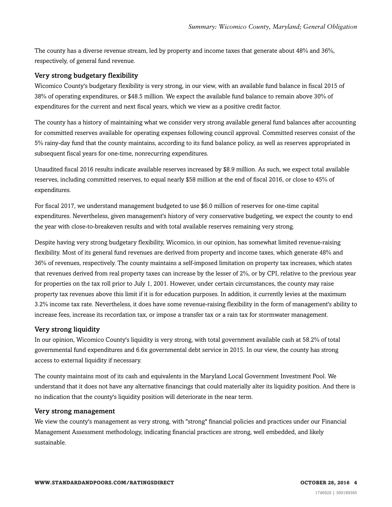The county has a diverse revenue stream, led by property and income taxes that generate about 48% and 36%, respectively, of general fund revenue.

#### Very strong budgetary flexibility

Wicomico County's budgetary flexibility is very strong, in our view, with an available fund balance in fiscal 2015 of 38% of operating expenditures, or \$48.5 million. We expect the available fund balance to remain above 30% of expenditures for the current and next fiscal years, which we view as a positive credit factor.

The county has a history of maintaining what we consider very strong available general fund balances after accounting for committed reserves available for operating expenses following council approval. Committed reserves consist of the 5% rainy-day fund that the county maintains, according to its fund balance policy, as well as reserves appropriated in subsequent fiscal years for one-time, nonrecurring expenditures.

Unaudited fiscal 2016 results indicate available reserves increased by \$8.9 million. As such, we expect total available reserves, including committed reserves, to equal nearly \$58 million at the end of fiscal 2016, or close to 45% of expenditures.

For fiscal 2017, we understand management budgeted to use \$6.0 million of reserves for one-time capital expenditures. Nevertheless, given management's history of very conservative budgeting, we expect the county to end the year with close-to-breakeven results and with total available reserves remaining very strong.

Despite having very strong budgetary flexibility, Wicomico, in our opinion, has somewhat limited revenue-raising flexibility. Most of its general fund revenues are derived from property and income taxes, which generate 48% and 36% of revenues, respectively. The county maintains a self-imposed limitation on property tax increases, which states that revenues derived from real property taxes can increase by the lesser of 2%, or by CPI, relative to the previous year for properties on the tax roll prior to July 1, 2001. However, under certain circumstances, the county may raise property tax revenues above this limit if it is for education purposes. In addition, it currently levies at the maximum 3.2% income tax rate. Nevertheless, it does have some revenue-raising flexibility in the form of management's ability to increase fees, increase its recordation tax, or impose a transfer tax or a rain tax for stormwater management.

#### Very strong liquidity

In our opinion, Wicomico County's liquidity is very strong, with total government available cash at 58.2% of total governmental fund expenditures and 6.6x governmental debt service in 2015. In our view, the county has strong access to external liquidity if necessary.

The county maintains most of its cash and equivalents in the Maryland Local Government Investment Pool. We understand that it does not have any alternative financings that could materially alter its liquidity position. And there is no indication that the county's liquidity position will deteriorate in the near term.

#### Very strong management

We view the county's management as very strong, with "strong" financial policies and practices under our Financial Management Assessment methodology, indicating financial practices are strong, well embedded, and likely sustainable.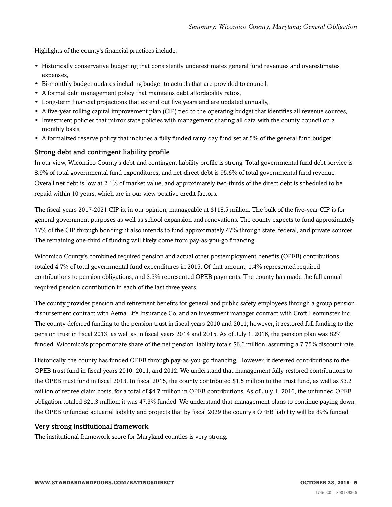Highlights of the county's financial practices include:

- Historically conservative budgeting that consistently underestimates general fund revenues and overestimates expenses,
- Bi-monthly budget updates including budget to actuals that are provided to council,
- A formal debt management policy that maintains debt affordability ratios,
- Long-term financial projections that extend out five years and are updated annually,
- A five-year rolling capital improvement plan (CIP) tied to the operating budget that identifies all revenue sources,
- Investment policies that mirror state policies with management sharing all data with the county council on a monthly basis,
- A formalized reserve policy that includes a fully funded rainy day fund set at 5% of the general fund budget.

#### Strong debt and contingent liability profile

In our view, Wicomico County's debt and contingent liability profile is strong. Total governmental fund debt service is 8.9% of total governmental fund expenditures, and net direct debt is 95.6% of total governmental fund revenue. Overall net debt is low at 2.1% of market value, and approximately two-thirds of the direct debt is scheduled to be repaid within 10 years, which are in our view positive credit factors.

The fiscal years 2017-2021 CIP is, in our opinion, manageable at \$118.5 million. The bulk of the five-year CIP is for general government purposes as well as school expansion and renovations. The county expects to fund approximately 17% of the CIP through bonding; it also intends to fund approximately 47% through state, federal, and private sources. The remaining one-third of funding will likely come from pay-as-you-go financing.

Wicomico County's combined required pension and actual other postemployment benefits (OPEB) contributions totaled 4.7% of total governmental fund expenditures in 2015. Of that amount, 1.4% represented required contributions to pension obligations, and 3.3% represented OPEB payments. The county has made the full annual required pension contribution in each of the last three years.

The county provides pension and retirement benefits for general and public safety employees through a group pension disbursement contract with Aetna Life Insurance Co. and an investment manager contract with Croft Leominster Inc. The county deferred funding to the pension trust in fiscal years 2010 and 2011; however, it restored full funding to the pension trust in fiscal 2013, as well as in fiscal years 2014 and 2015. As of July 1, 2016, the pension plan was 82% funded. Wicomico's proportionate share of the net pension liability totals \$6.6 million, assuming a 7.75% discount rate.

Historically, the county has funded OPEB through pay-as-you-go financing. However, it deferred contributions to the OPEB trust fund in fiscal years 2010, 2011, and 2012. We understand that management fully restored contributions to the OPEB trust fund in fiscal 2013. In fiscal 2015, the county contributed \$1.5 million to the trust fund, as well as \$3.2 million of retiree claim costs, for a total of \$4.7 million in OPEB contributions. As of July 1, 2016, the unfunded OPEB obligation totaled \$21.3 million; it was 47.3% funded. We understand that management plans to continue paying down the OPEB unfunded actuarial liability and projects that by fiscal 2029 the county's OPEB liability will be 89% funded.

#### Very strong institutional framework

The institutional framework score for Maryland counties is very strong.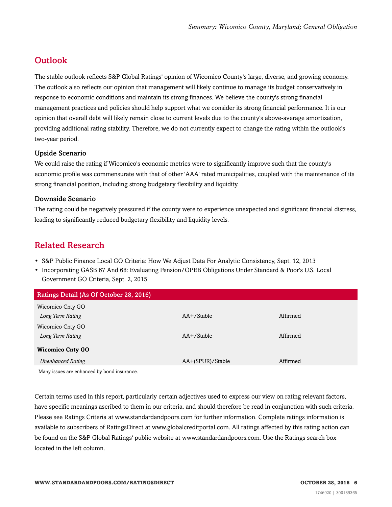# <span id="page-5-0"></span>**Outlook**

The stable outlook reflects S&P Global Ratings' opinion of Wicomico County's large, diverse, and growing economy. The outlook also reflects our opinion that management will likely continue to manage its budget conservatively in response to economic conditions and maintain its strong finances. We believe the county's strong financial management practices and policies should help support what we consider its strong financial performance. It is our opinion that overall debt will likely remain close to current levels due to the county's above-average amortization, providing additional rating stability. Therefore, we do not currently expect to change the rating within the outlook's two-year period.

#### Upside Scenario

We could raise the rating if Wicomico's economic metrics were to significantly improve such that the county's economic profile was commensurate with that of other 'AAA' rated municipalities, coupled with the maintenance of its strong financial position, including strong budgetary flexibility and liquidity.

#### Downside Scenario

The rating could be negatively pressured if the county were to experience unexpected and significant financial distress, leading to significantly reduced budgetary flexibility and liquidity levels.

# <span id="page-5-1"></span>Related Research

- S&P Public Finance Local GO Criteria: How We Adjust Data For Analytic Consistency, Sept. 12, 2013
- Incorporating GASB 67 And 68: Evaluating Pension/OPEB Obligations Under Standard & Poor's U.S. Local Government GO Criteria, Sept. 2, 2015

| Ratings Detail (As Of October 28, 2016)     |                  |          |
|---------------------------------------------|------------------|----------|
| Wicomico Cnty GO                            |                  |          |
| Long Term Rating                            | $AA+$ /Stable    | Affirmed |
| Wicomico Cnty GO                            |                  |          |
| Long Term Rating                            | $AA + /$ Stable  | Affirmed |
| <b>Wicomico Cnty GO</b>                     |                  |          |
| <b>Unenhanced Rating</b>                    | AA+(SPUR)/Stable | Affirmed |
| Many issues are enhanced by bond insurance. |                  |          |

Certain terms used in this report, particularly certain adjectives used to express our view on rating relevant factors, have specific meanings ascribed to them in our criteria, and should therefore be read in conjunction with such criteria. Please see Ratings Criteria at www.standardandpoors.com for further information. Complete ratings information is available to subscribers of RatingsDirect at www.globalcreditportal.com. All ratings affected by this rating action can be found on the S&P Global Ratings' public website at www.standardandpoors.com. Use the Ratings search box located in the left column.